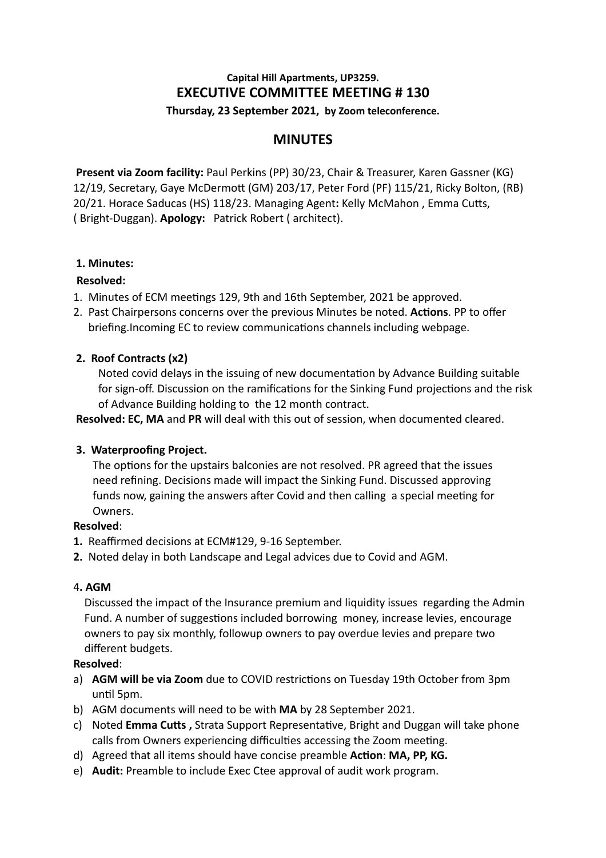# **Capital Hill Apartments, UP3259. EXECUTIVE COMMITTEE MEETING # 130 Thursday, 23 September 2021, by Zoom teleconference.**

# **MINUTES**

 **Present via Zoom facility:** Paul Perkins (PP) 30/23, Chair & Treasurer, Karen Gassner (KG) 12/19, Secretary, Gaye McDermott (GM) 203/17, Peter Ford (PF) 115/21, Ricky Bolton, (RB) 20/21. Horace Saducas (HS) 118/23. Managing Agent: Kelly McMahon, Emma Cutts, ( Bright-Duggan). **Apology:** Patrick Robert ( architect).

## **1. Minutes:**

## **Resolved:**

- 1. Minutes of ECM meetings 129, 9th and 16th September, 2021 be approved.
- 2. Past Chairpersons concerns over the previous Minutes be noted. Actions. PP to offer briefing.Incoming EC to review communications channels including webpage.

## **2. Roof Contracts (x2)**

Noted covid delays in the issuing of new documentation by Advance Building suitable for sign-off. Discussion on the ramifications for the Sinking Fund projections and the risk of Advance Building holding to the 12 month contract.

**Resolved: EC, MA** and **PR** will deal with this out of session, when documented cleared.

## **3. Waterproofing Project.**

The options for the upstairs balconies are not resolved. PR agreed that the issues need refining. Decisions made will impact the Sinking Fund. Discussed approving funds now, gaining the answers after Covid and then calling a special meeting for Owners.

### **Resolved**:

- **1.** Reaffirmed decisions at ECM#129, 9-16 September.
- **2.** Noted delay in both Landscape and Legal advices due to Covid and AGM.

### 4**. AGM**

Discussed the impact of the Insurance premium and liquidity issues regarding the Admin Fund. A number of suggestions included borrowing money, increase levies, encourage owners to pay six monthly, followup owners to pay overdue levies and prepare two different budgets.

### **Resolved**:

- a) **AGM will be via Zoom** due to COVID restrictions on Tuesday 19th October from 3pm until 5pm.
- b) AGM documents will need to be with **MA** by 28 September 2021.
- c) Noted **Emma Cutts, Strata Support Representative, Bright and Duggan will take phone** calls from Owners experiencing difficulties accessing the Zoom meeting.
- d) Agreed that all items should have concise preamble **Action: MA, PP, KG.**
- e) **Audit:** Preamble to include Exec Ctee approval of audit work program.